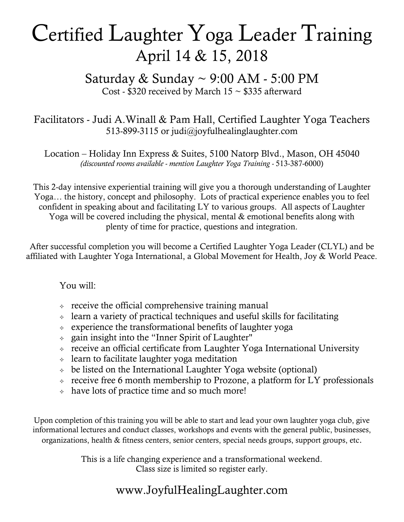# Certified Laughter Yoga Leader Training April 14 & 15, 2018

Saturday  $&$  Sunday  $\sim$  9:00 AM - 5:00 PM Cost - \$320 received by March  $15 \sim $335$  afterward

#### Facilitators - Judi A.Winall & Pam Hall, Certified Laughter Yoga Teachers 513-899-3115 or judi@joyfulhealinglaughter.com

Location – Holiday Inn Express & Suites, 5100 Natorp Blvd., Mason, OH 45040 *(discounted rooms available - mention Laughter Yoga Training -* 513-387-6000)

This 2-day intensive experiential training will give you a thorough understanding of Laughter Yoga… the history, concept and philosophy. Lots of practical experience enables you to feel confident in speaking about and facilitating LY to various groups. All aspects of Laughter Yoga will be covered including the physical, mental & emotional benefits along with plenty of time for practice, questions and integration.

After successful completion you will become a Certified Laughter Yoga Leader (CLYL) and be affiliated with Laughter Yoga International, a Global Movement for Health, Joy & World Peace.

You will:

- $\div$  receive the official comprehensive training manual
- $\triangle$  learn a variety of practical techniques and useful skills for facilitating
- $\triangle$  experience the transformational benefits of laughter yoga
- $\phi$  gain insight into the "Inner Spirit of Laughter"
- $\rightarrow$  receive an official certificate from Laughter Yoga International University
- $\triangle$  learn to facilitate laughter yoga meditation
- $\rightarrow$  be listed on the International Laughter Yoga website (optional)
- $\div$  receive free 6 month membership to Prozone, a platform for LY professionals
- $\lozenge$  have lots of practice time and so much more!

Upon completion of this training you will be able to start and lead your own laughter yoga club, give informational lectures and conduct classes, workshops and events with the general public, businesses, organizations, health & fitness centers, senior centers, special needs groups, support groups, etc.

> This is a life changing experience and a transformational weekend. Class size is limited so register early.

### www.JoyfulHealingLaughter.com